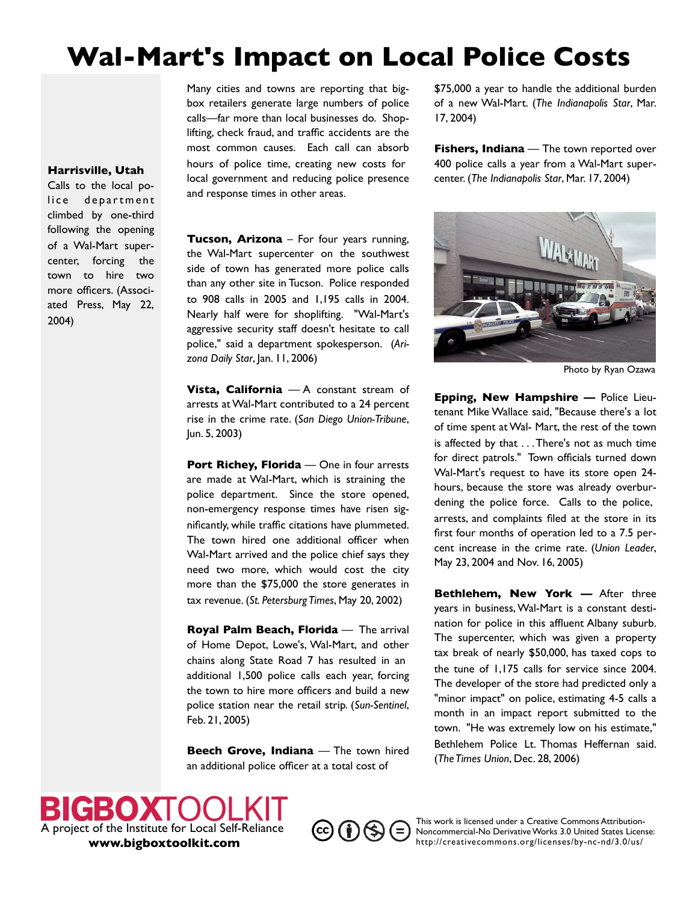## **Wal-Mart's Impact on Local Police Costs**

Many cities and towns are reporting that bigbox retailers generate large numbers of police calls—far more than local businesses do. Shoplifting, check fraud, and traffic accidents are the most common causes. Each call can absorb hours of police time, creating new costs for local government and reducing police presence and response times in other areas.

\$75,000 a year to handle the additional burden of a new Wal-Mart. (*The Indianapolis Star*, Mar. 17, 2004)

**Fishers, Indiana** — The town reported over 400 police calls a year from a Wal-Mart supercenter. (*The Indianapolis Star*, Mar. 17, 2004)



Photo by Ryan Ozawa

**Epping, New Hampshire —** Police Lieutenant Mike Wallace said, "Because there's a lot of time spent at Wal- Mart, the rest of the town is affected by that . . .There's not as much time for direct patrols." Town officials turned down Wal-Mart's request to have its store open 24 hours, because the store was already overburdening the police force. Calls to the police, arrests, and complaints filed at the store in its first four months of operation led to a 7.5 percent increase in the crime rate. (*Union Leader*, May 23, 2004 and Nov. 16, 2005)

**Bethlehem, New York —** After three years in business,Wal-Mart is a constant destination for police in this affluent Albany suburb. The supercenter, which was given a property tax break of nearly \$50,000, has taxed cops to the tune of 1,175 calls for service since 2004. The developer of the store had predicted only a "minor impact" on police, estimating 4-5 calls a month in an impact report submitted to the town. "He was extremely low on his estimate," Bethlehem Police Lt. Thomas Heffernan said. (*The Times Union*, Dec. 28, 2006)



**Harrisville, Utah** Calls to the local police department climbed by one-third following the opening of a Wal-Mart supercenter, forcing the town to hire two more officers. (Associated Press, May 22,

2004)

**Tucson, Arizona** – For four years running, the Wal-Mart supercenter on the southwest side of town has generated more police calls than any other site in Tucson. Police responded to 908 calls in 2005 and 1,195 calls in 2004. Nearly half were for shoplifting. "Wal-Mart's aggressive security staff doesn't hesitate to call police," said a department spokesperson. (*Arizona Daily Star*, Jan. 11, 2006)

**Vista, California** — A constant stream of arrests atWal-Mart contributed to a 24 percent rise in the crime rate. (*San Diego Union-Tribune*, Jun. 5, 2003)

**Port Richey, Florida** — One in four arrests are made at Wal-Mart, which is straining the police department. Since the store opened, non-emergency response times have risen significantly, while traffic citations have plummeted. The town hired one additional officer when Wal-Mart arrived and the police chief says they need two more, which would cost the city more than the \$75,000 the store generates in tax revenue. (*St. Petersburg Times*, May 20, 2002)

**Royal Palm Beach, Florida** — The arrival of Home Depot, Lowe's, Wal-Mart, and other chains along State Road 7 has resulted in an additional 1,500 police calls each year, forcing the town to hire more officers and build a new police station near the retail strip. (*Sun-Sentinel*, Feb. 21, 2005)

**Beech Grove, Indiana** — The town hired an additional police officer at a total cost of

 $\left(\mathrm{cc}\right)\left(\mathbf{\dot{q}}\right)\left(\mathbf{\dot{s}}\right)\left(\mathbf{=}\right)$ 

This work is licensed under a Creative Commons Attribution-Noncommercial-No Derivative Works 3.0 United States License: <http://creativecommons.org/licenses/by-nc-nd/3.0/us/>